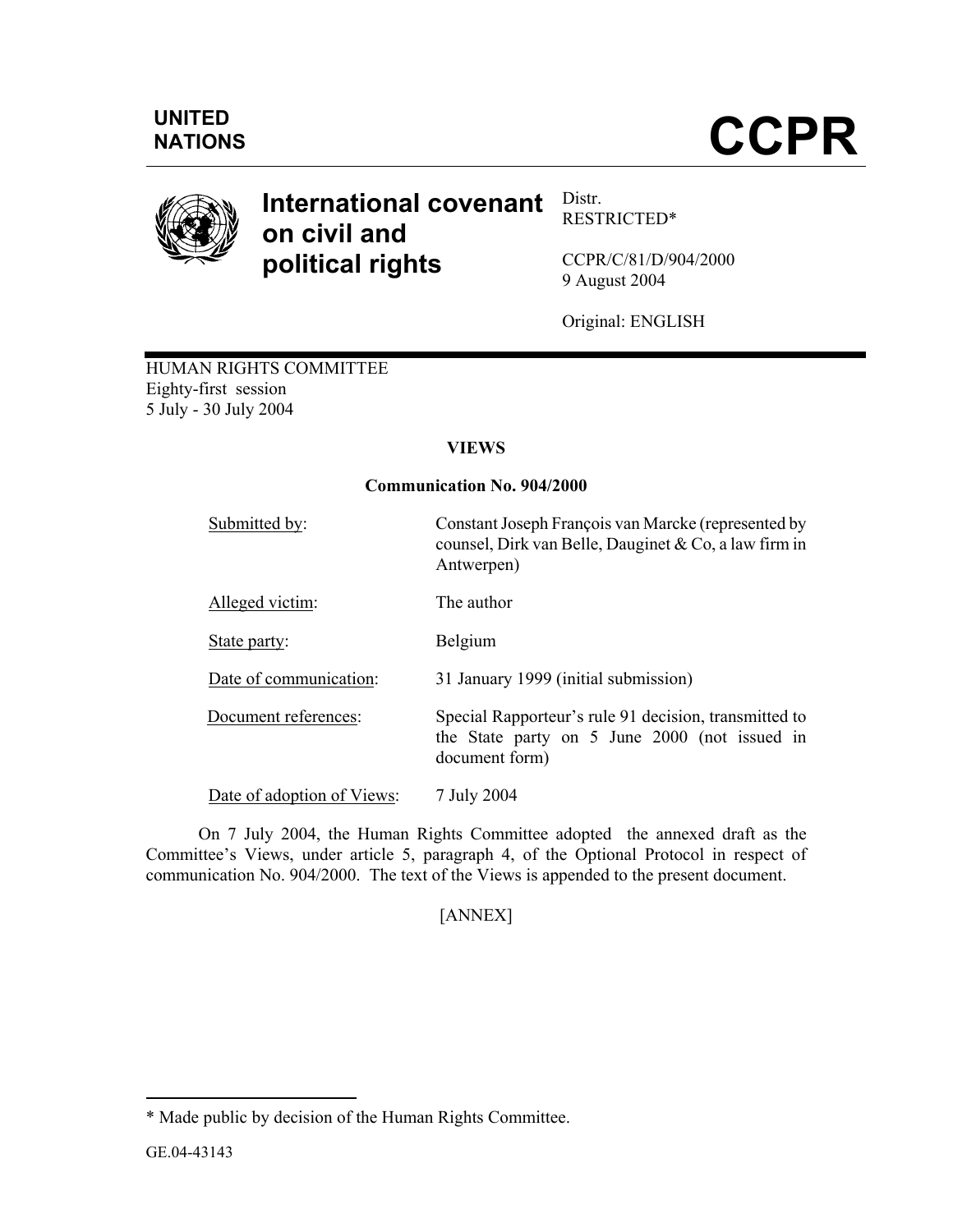

#### **International covenant on civil and political rights**  Distr. RESTRICTED\*

CCPR/C/81/D/904/2000 9 August 2004

Original: ENGLISH

HUMAN RIGHTS COMMITTEE Eighty-first session 5 July - 30 July 2004

# **VIEWS**

# **Communication No. 904/2000**

| Submitted by:              | Constant Joseph François van Marcke (represented by<br>counsel, Dirk van Belle, Dauginet & Co, a law firm in<br>Antwerpen) |
|----------------------------|----------------------------------------------------------------------------------------------------------------------------|
| Alleged victim:            | The author                                                                                                                 |
| State party:               | Belgium                                                                                                                    |
| Date of communication:     | 31 January 1999 (initial submission)                                                                                       |
| Document references:       | Special Rapporteur's rule 91 decision, transmitted to<br>the State party on 5 June 2000 (not issued in<br>document form)   |
| Date of adoption of Views: | 7 July 2004                                                                                                                |

 On 7 July 2004, the Human Rights Committee adopted the annexed draft as the Committee's Views, under article 5, paragraph 4, of the Optional Protocol in respect of communication No. 904/2000. The text of the Views is appended to the present document.

[ANNEX]

-

<sup>\*</sup> Made public by decision of the Human Rights Committee.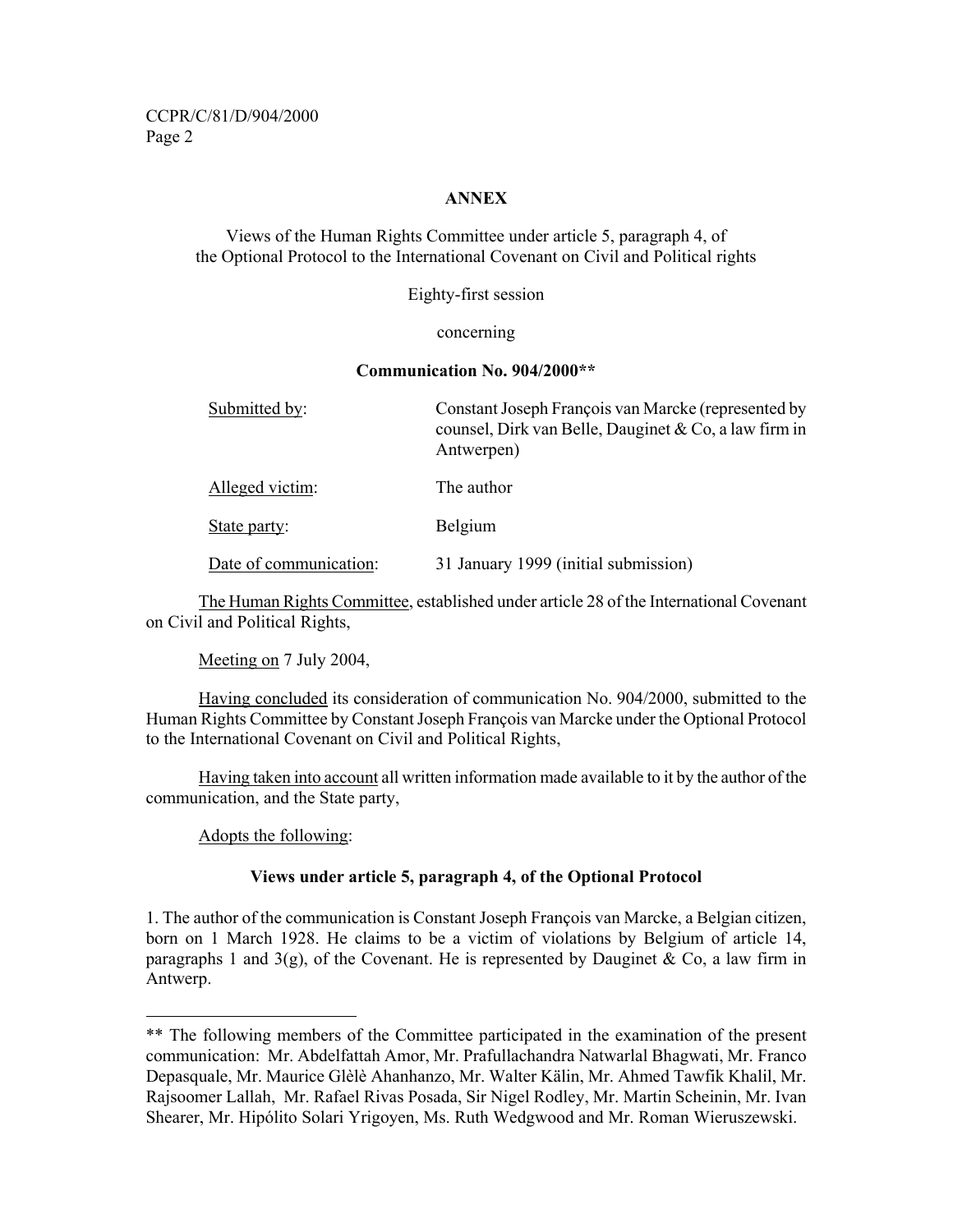CCPR/C/81/D/904/2000 Page 2

# **ANNEX**

Views of the Human Rights Committee under article 5, paragraph 4, of the Optional Protocol to the International Covenant on Civil and Political rights

Eighty-first session

#### concerning

#### **Communication No. 904/2000\*\***

| Submitted by:          | Constant Joseph François van Marcke (represented by<br>counsel, Dirk van Belle, Dauginet & Co, a law firm in<br>Antwerpen) |
|------------------------|----------------------------------------------------------------------------------------------------------------------------|
| Alleged victim:        | The author                                                                                                                 |
| State party:           | Belgium                                                                                                                    |
| Date of communication: | 31 January 1999 (initial submission)                                                                                       |

 The Human Rights Committee, established under article 28 of the International Covenant on Civil and Political Rights,

Meeting on 7 July 2004,

 Having concluded its consideration of communication No. 904/2000, submitted to the Human Rights Committee by Constant Joseph François van Marcke under the Optional Protocol to the International Covenant on Civil and Political Rights,

 Having taken into account all written information made available to it by the author of the communication, and the State party,

Adopts the following:

-

# **Views under article 5, paragraph 4, of the Optional Protocol**

1. The author of the communication is Constant Joseph François van Marcke, a Belgian citizen, born on 1 March 1928. He claims to be a victim of violations by Belgium of article 14, paragraphs 1 and 3(g), of the Covenant. He is represented by Dauginet & Co, a law firm in Antwerp.

<sup>\*\*</sup> The following members of the Committee participated in the examination of the present communication: Mr. Abdelfattah Amor, Mr. Prafullachandra Natwarlal Bhagwati, Mr. Franco Depasquale, Mr. Maurice Glèlè Ahanhanzo, Mr. Walter Kälin, Mr. Ahmed Tawfik Khalil, Mr. Rajsoomer Lallah, Mr. Rafael Rivas Posada, Sir Nigel Rodley, Mr. Martin Scheinin, Mr. Ivan Shearer, Mr. Hipólito Solari Yrigoyen, Ms. Ruth Wedgwood and Mr. Roman Wieruszewski.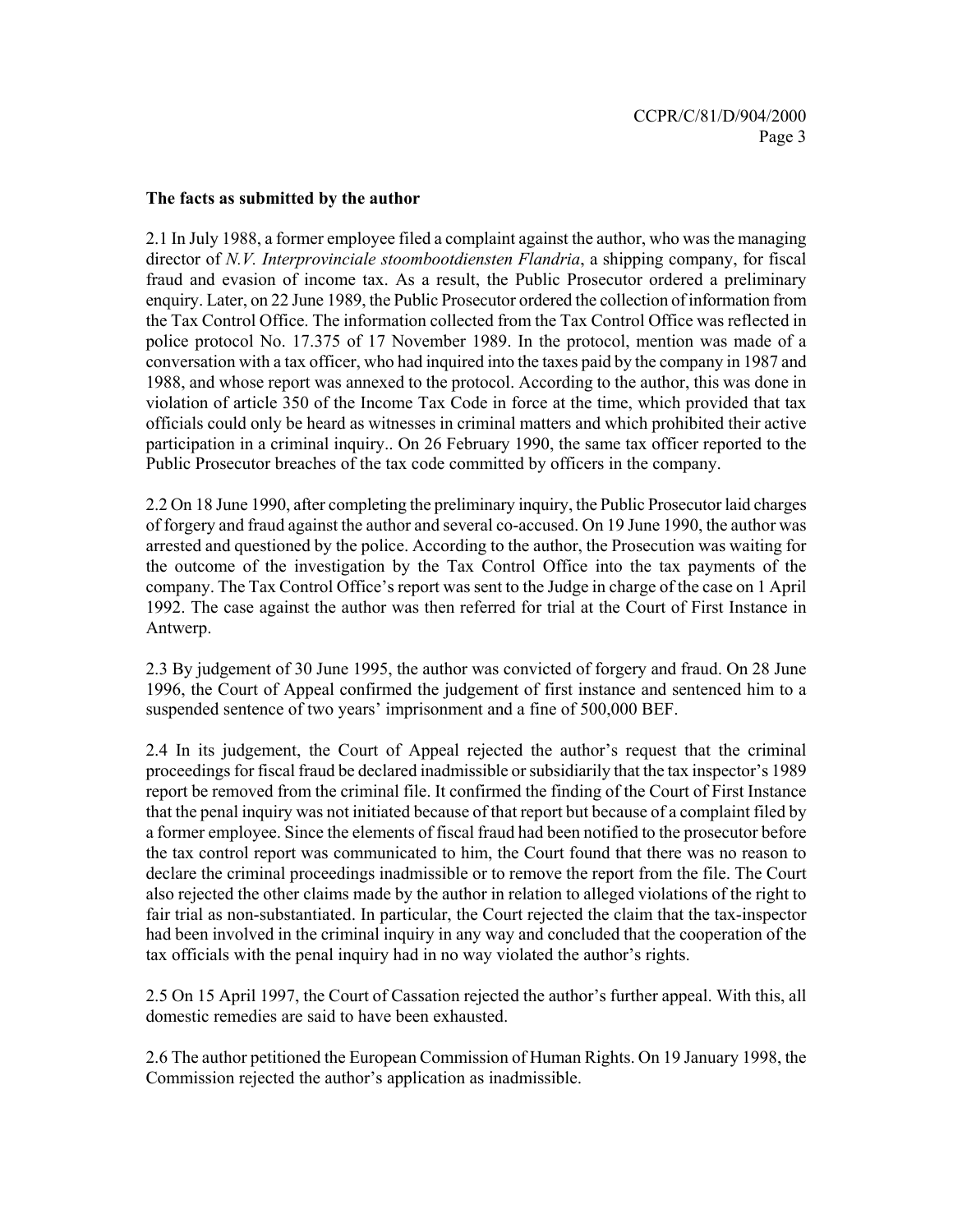#### **The facts as submitted by the author**

2.1 In July 1988, a former employee filed a complaint against the author, who was the managing director of *N.V. Interprovinciale stoombootdiensten Flandria*, a shipping company, for fiscal fraud and evasion of income tax. As a result, the Public Prosecutor ordered a preliminary enquiry. Later, on 22 June 1989, the Public Prosecutor ordered the collection of information from the Tax Control Office. The information collected from the Tax Control Office was reflected in police protocol No. 17.375 of 17 November 1989. In the protocol, mention was made of a conversation with a tax officer, who had inquired into the taxes paid by the company in 1987 and 1988, and whose report was annexed to the protocol. According to the author, this was done in violation of article 350 of the Income Tax Code in force at the time, which provided that tax officials could only be heard as witnesses in criminal matters and which prohibited their active participation in a criminal inquiry.. On 26 February 1990, the same tax officer reported to the Public Prosecutor breaches of the tax code committed by officers in the company.

2.2 On 18 June 1990, after completing the preliminary inquiry, the Public Prosecutor laid charges of forgery and fraud against the author and several co-accused. On 19 June 1990, the author was arrested and questioned by the police. According to the author, the Prosecution was waiting for the outcome of the investigation by the Tax Control Office into the tax payments of the company. The Tax Control Office's report was sent to the Judge in charge of the case on 1 April 1992. The case against the author was then referred for trial at the Court of First Instance in Antwerp.

2.3 By judgement of 30 June 1995, the author was convicted of forgery and fraud. On 28 June 1996, the Court of Appeal confirmed the judgement of first instance and sentenced him to a suspended sentence of two years' imprisonment and a fine of 500,000 BEF.

2.4 In its judgement, the Court of Appeal rejected the author's request that the criminal proceedings for fiscal fraud be declared inadmissible or subsidiarily that the tax inspector's 1989 report be removed from the criminal file. It confirmed the finding of the Court of First Instance that the penal inquiry was not initiated because of that report but because of a complaint filed by a former employee. Since the elements of fiscal fraud had been notified to the prosecutor before the tax control report was communicated to him, the Court found that there was no reason to declare the criminal proceedings inadmissible or to remove the report from the file. The Court also rejected the other claims made by the author in relation to alleged violations of the right to fair trial as non-substantiated. In particular, the Court rejected the claim that the tax-inspector had been involved in the criminal inquiry in any way and concluded that the cooperation of the tax officials with the penal inquiry had in no way violated the author's rights.

2.5 On 15 April 1997, the Court of Cassation rejected the author's further appeal. With this, all domestic remedies are said to have been exhausted.

2.6 The author petitioned the European Commission of Human Rights. On 19 January 1998, the Commission rejected the author's application as inadmissible.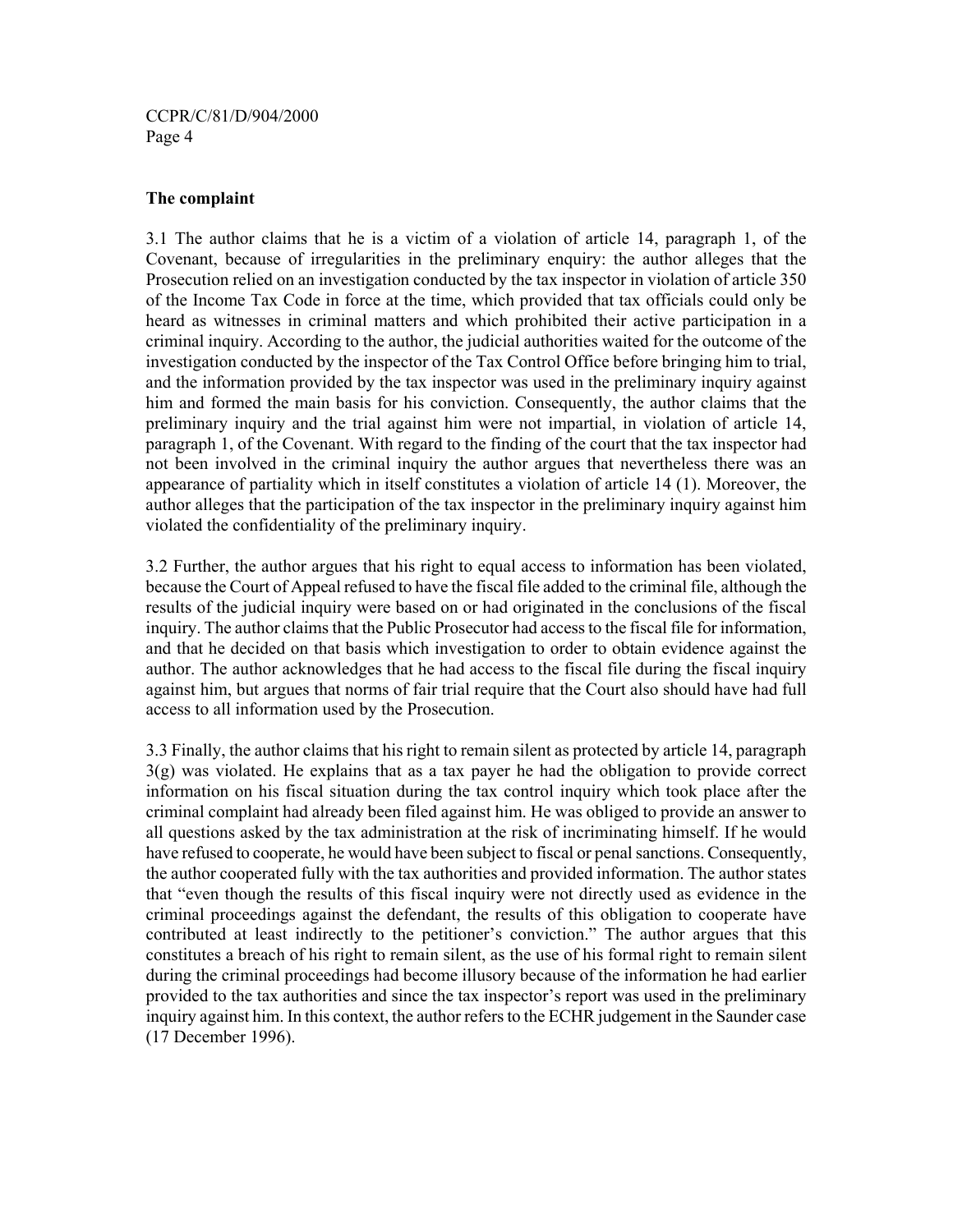CCPR/C/81/D/904/2000 Page 4

### **The complaint**

3.1 The author claims that he is a victim of a violation of article 14, paragraph 1, of the Covenant, because of irregularities in the preliminary enquiry: the author alleges that the Prosecution relied on an investigation conducted by the tax inspector in violation of article 350 of the Income Tax Code in force at the time, which provided that tax officials could only be heard as witnesses in criminal matters and which prohibited their active participation in a criminal inquiry. According to the author, the judicial authorities waited for the outcome of the investigation conducted by the inspector of the Tax Control Office before bringing him to trial, and the information provided by the tax inspector was used in the preliminary inquiry against him and formed the main basis for his conviction. Consequently, the author claims that the preliminary inquiry and the trial against him were not impartial, in violation of article 14, paragraph 1, of the Covenant. With regard to the finding of the court that the tax inspector had not been involved in the criminal inquiry the author argues that nevertheless there was an appearance of partiality which in itself constitutes a violation of article 14 (1). Moreover, the author alleges that the participation of the tax inspector in the preliminary inquiry against him violated the confidentiality of the preliminary inquiry.

3.2 Further, the author argues that his right to equal access to information has been violated, because the Court of Appeal refused to have the fiscal file added to the criminal file, although the results of the judicial inquiry were based on or had originated in the conclusions of the fiscal inquiry. The author claims that the Public Prosecutor had access to the fiscal file for information, and that he decided on that basis which investigation to order to obtain evidence against the author. The author acknowledges that he had access to the fiscal file during the fiscal inquiry against him, but argues that norms of fair trial require that the Court also should have had full access to all information used by the Prosecution.

3.3 Finally, the author claims that his right to remain silent as protected by article 14, paragraph 3(g) was violated. He explains that as a tax payer he had the obligation to provide correct information on his fiscal situation during the tax control inquiry which took place after the criminal complaint had already been filed against him. He was obliged to provide an answer to all questions asked by the tax administration at the risk of incriminating himself. If he would have refused to cooperate, he would have been subject to fiscal or penal sanctions. Consequently, the author cooperated fully with the tax authorities and provided information. The author states that "even though the results of this fiscal inquiry were not directly used as evidence in the criminal proceedings against the defendant, the results of this obligation to cooperate have contributed at least indirectly to the petitioner's conviction." The author argues that this constitutes a breach of his right to remain silent, as the use of his formal right to remain silent during the criminal proceedings had become illusory because of the information he had earlier provided to the tax authorities and since the tax inspector's report was used in the preliminary inquiry against him. In this context, the author refers to the ECHR judgement in the Saunder case (17 December 1996).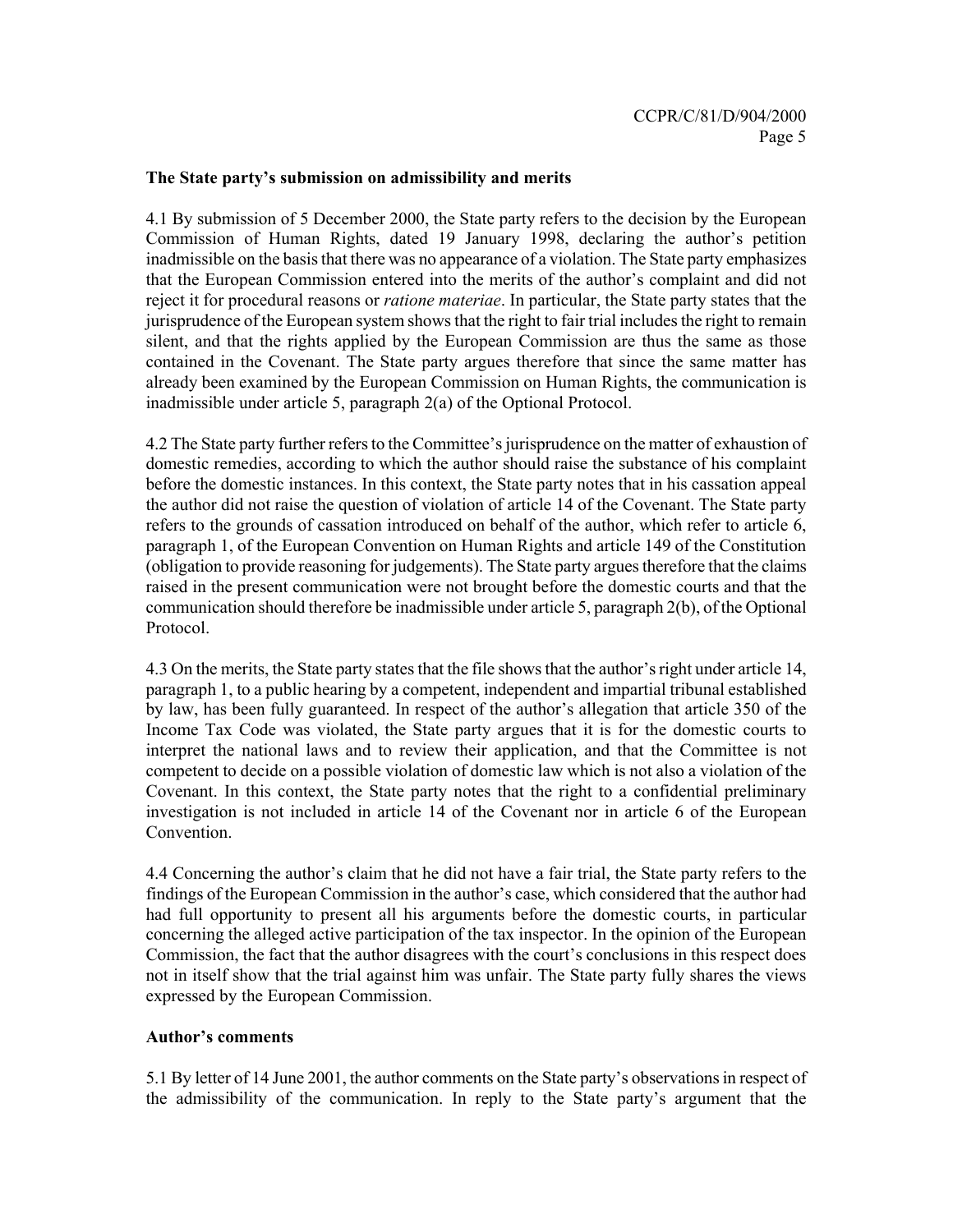#### **The State party's submission on admissibility and merits**

4.1 By submission of 5 December 2000, the State party refers to the decision by the European Commission of Human Rights, dated 19 January 1998, declaring the author's petition inadmissible on the basis that there was no appearance of a violation. The State party emphasizes that the European Commission entered into the merits of the author's complaint and did not reject it for procedural reasons or *ratione materiae*. In particular, the State party states that the jurisprudence of the European system shows that the right to fair trial includes the right to remain silent, and that the rights applied by the European Commission are thus the same as those contained in the Covenant. The State party argues therefore that since the same matter has already been examined by the European Commission on Human Rights, the communication is inadmissible under article 5, paragraph 2(a) of the Optional Protocol.

4.2 The State party further refers to the Committee's jurisprudence on the matter of exhaustion of domestic remedies, according to which the author should raise the substance of his complaint before the domestic instances. In this context, the State party notes that in his cassation appeal the author did not raise the question of violation of article 14 of the Covenant. The State party refers to the grounds of cassation introduced on behalf of the author, which refer to article 6, paragraph 1, of the European Convention on Human Rights and article 149 of the Constitution (obligation to provide reasoning for judgements). The State party argues therefore that the claims raised in the present communication were not brought before the domestic courts and that the communication should therefore be inadmissible under article 5, paragraph 2(b), of the Optional Protocol.

4.3 On the merits, the State party states that the file shows that the author's right under article 14, paragraph 1, to a public hearing by a competent, independent and impartial tribunal established by law, has been fully guaranteed. In respect of the author's allegation that article 350 of the Income Tax Code was violated, the State party argues that it is for the domestic courts to interpret the national laws and to review their application, and that the Committee is not competent to decide on a possible violation of domestic law which is not also a violation of the Covenant. In this context, the State party notes that the right to a confidential preliminary investigation is not included in article 14 of the Covenant nor in article 6 of the European Convention.

4.4 Concerning the author's claim that he did not have a fair trial, the State party refers to the findings of the European Commission in the author's case, which considered that the author had had full opportunity to present all his arguments before the domestic courts, in particular concerning the alleged active participation of the tax inspector. In the opinion of the European Commission, the fact that the author disagrees with the court's conclusions in this respect does not in itself show that the trial against him was unfair. The State party fully shares the views expressed by the European Commission.

#### **Author's comments**

5.1 By letter of 14 June 2001, the author comments on the State party's observations in respect of the admissibility of the communication. In reply to the State party's argument that the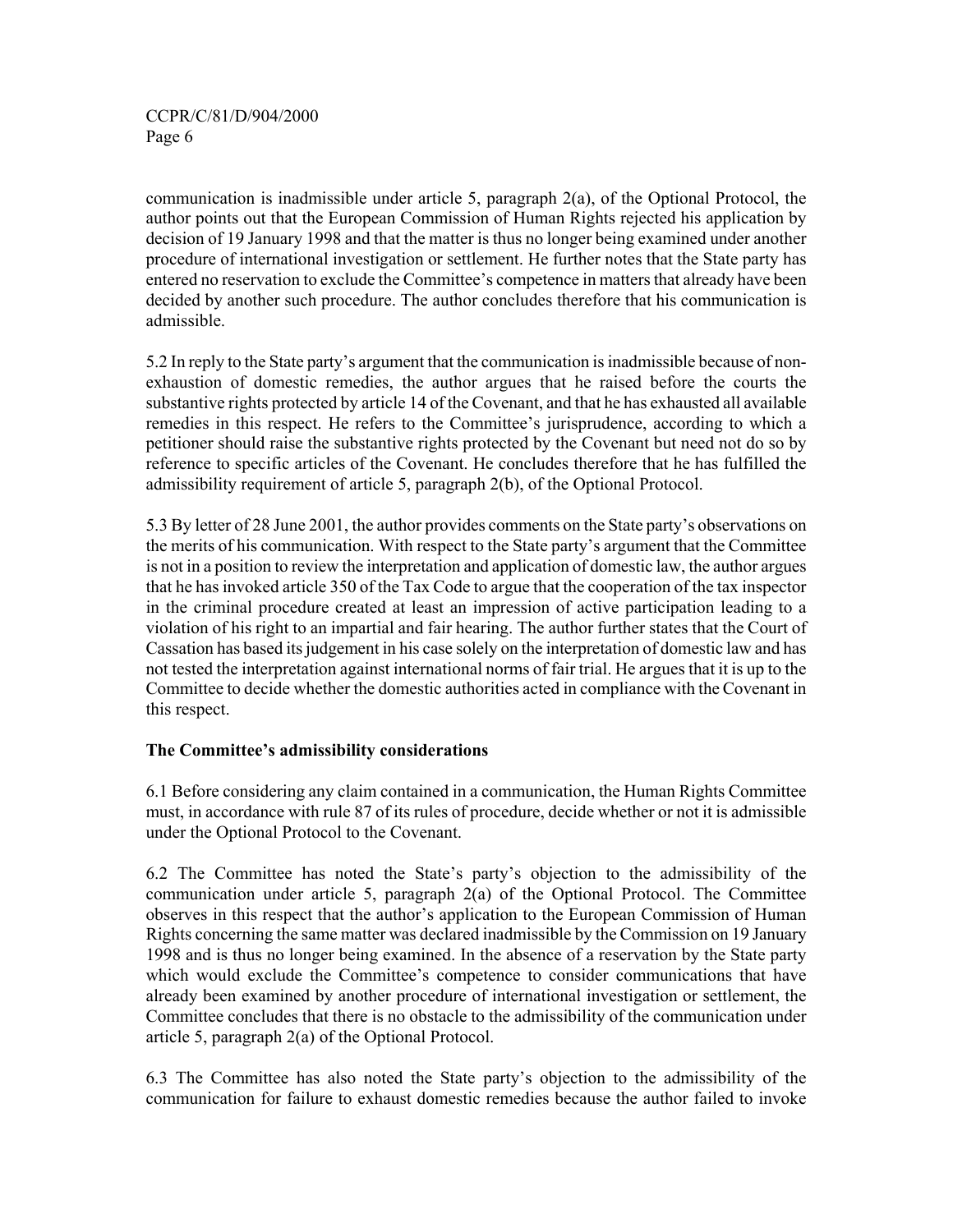# CCPR/C/81/D/904/2000 Page 6

communication is inadmissible under article 5, paragraph  $2(a)$ , of the Optional Protocol, the author points out that the European Commission of Human Rights rejected his application by decision of 19 January 1998 and that the matter is thus no longer being examined under another procedure of international investigation or settlement. He further notes that the State party has entered no reservation to exclude the Committee's competence in matters that already have been decided by another such procedure. The author concludes therefore that his communication is admissible.

5.2 In reply to the State party's argument that the communication is inadmissible because of nonexhaustion of domestic remedies, the author argues that he raised before the courts the substantive rights protected by article 14 of the Covenant, and that he has exhausted all available remedies in this respect. He refers to the Committee's jurisprudence, according to which a petitioner should raise the substantive rights protected by the Covenant but need not do so by reference to specific articles of the Covenant. He concludes therefore that he has fulfilled the admissibility requirement of article 5, paragraph 2(b), of the Optional Protocol.

5.3 By letter of 28 June 2001, the author provides comments on the State party's observations on the merits of his communication. With respect to the State party's argument that the Committee is not in a position to review the interpretation and application of domestic law, the author argues that he has invoked article 350 of the Tax Code to argue that the cooperation of the tax inspector in the criminal procedure created at least an impression of active participation leading to a violation of his right to an impartial and fair hearing. The author further states that the Court of Cassation has based its judgement in his case solely on the interpretation of domestic law and has not tested the interpretation against international norms of fair trial. He argues that it is up to the Committee to decide whether the domestic authorities acted in compliance with the Covenant in this respect.

#### **The Committee's admissibility considerations**

6.1 Before considering any claim contained in a communication, the Human Rights Committee must, in accordance with rule 87 of its rules of procedure, decide whether or not it is admissible under the Optional Protocol to the Covenant.

6.2 The Committee has noted the State's party's objection to the admissibility of the communication under article 5, paragraph 2(a) of the Optional Protocol. The Committee observes in this respect that the author's application to the European Commission of Human Rights concerning the same matter was declared inadmissible by the Commission on 19 January 1998 and is thus no longer being examined. In the absence of a reservation by the State party which would exclude the Committee's competence to consider communications that have already been examined by another procedure of international investigation or settlement, the Committee concludes that there is no obstacle to the admissibility of the communication under article 5, paragraph 2(a) of the Optional Protocol.

6.3 The Committee has also noted the State party's objection to the admissibility of the communication for failure to exhaust domestic remedies because the author failed to invoke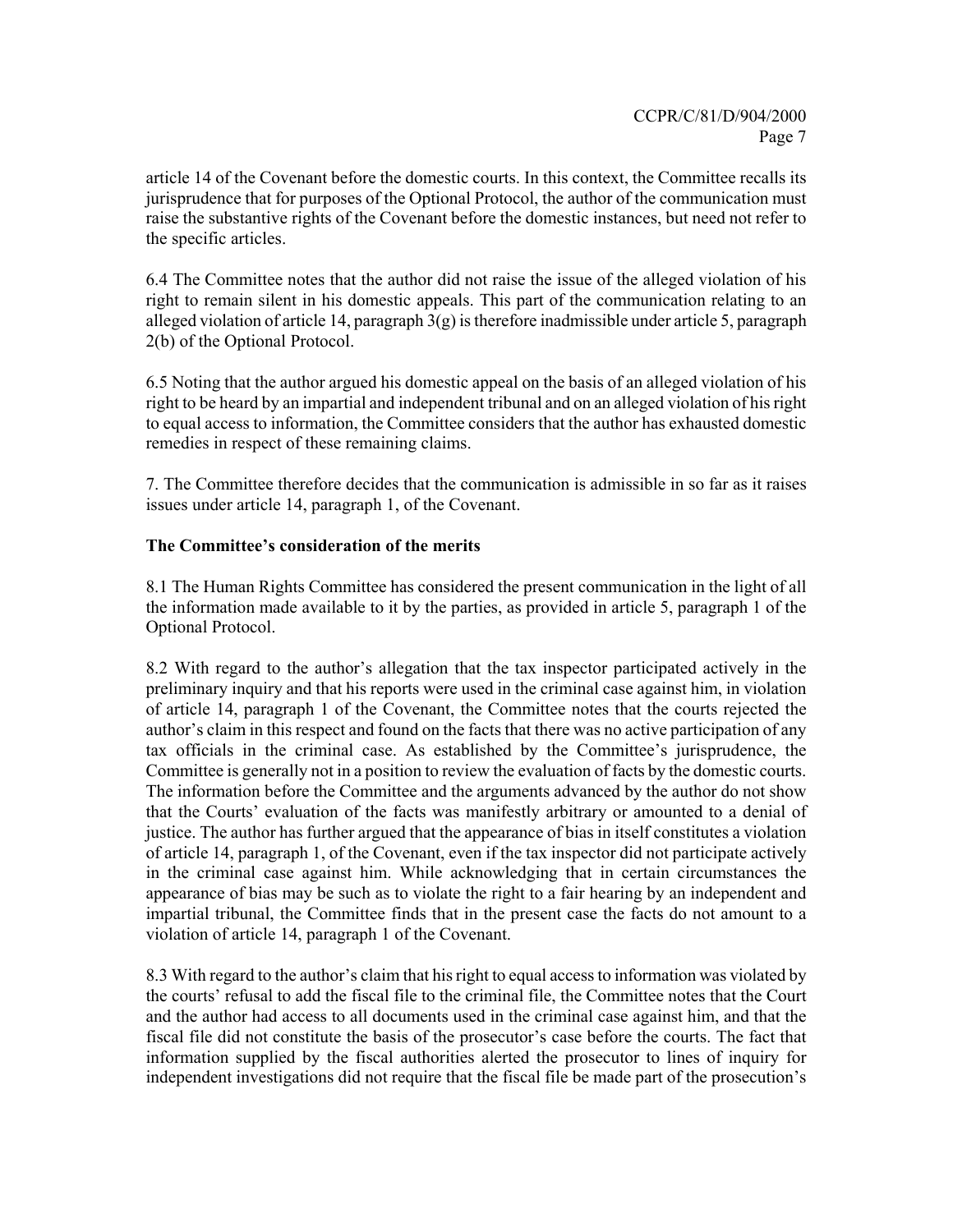article 14 of the Covenant before the domestic courts. In this context, the Committee recalls its jurisprudence that for purposes of the Optional Protocol, the author of the communication must raise the substantive rights of the Covenant before the domestic instances, but need not refer to the specific articles.

6.4 The Committee notes that the author did not raise the issue of the alleged violation of his right to remain silent in his domestic appeals. This part of the communication relating to an alleged violation of article 14, paragraph 3(g) is therefore inadmissible under article 5, paragraph 2(b) of the Optional Protocol.

6.5 Noting that the author argued his domestic appeal on the basis of an alleged violation of his right to be heard by an impartial and independent tribunal and on an alleged violation of his right to equal access to information, the Committee considers that the author has exhausted domestic remedies in respect of these remaining claims.

7. The Committee therefore decides that the communication is admissible in so far as it raises issues under article 14, paragraph 1, of the Covenant.

# **The Committee's consideration of the merits**

8.1 The Human Rights Committee has considered the present communication in the light of all the information made available to it by the parties, as provided in article 5, paragraph 1 of the Optional Protocol.

8.2 With regard to the author's allegation that the tax inspector participated actively in the preliminary inquiry and that his reports were used in the criminal case against him, in violation of article 14, paragraph 1 of the Covenant, the Committee notes that the courts rejected the author's claim in this respect and found on the facts that there was no active participation of any tax officials in the criminal case. As established by the Committee's jurisprudence, the Committee is generally not in a position to review the evaluation of facts by the domestic courts. The information before the Committee and the arguments advanced by the author do not show that the Courts' evaluation of the facts was manifestly arbitrary or amounted to a denial of justice. The author has further argued that the appearance of bias in itself constitutes a violation of article 14, paragraph 1, of the Covenant, even if the tax inspector did not participate actively in the criminal case against him. While acknowledging that in certain circumstances the appearance of bias may be such as to violate the right to a fair hearing by an independent and impartial tribunal, the Committee finds that in the present case the facts do not amount to a violation of article 14, paragraph 1 of the Covenant.

8.3 With regard to the author's claim that his right to equal access to information was violated by the courts' refusal to add the fiscal file to the criminal file, the Committee notes that the Court and the author had access to all documents used in the criminal case against him, and that the fiscal file did not constitute the basis of the prosecutor's case before the courts. The fact that information supplied by the fiscal authorities alerted the prosecutor to lines of inquiry for independent investigations did not require that the fiscal file be made part of the prosecution's